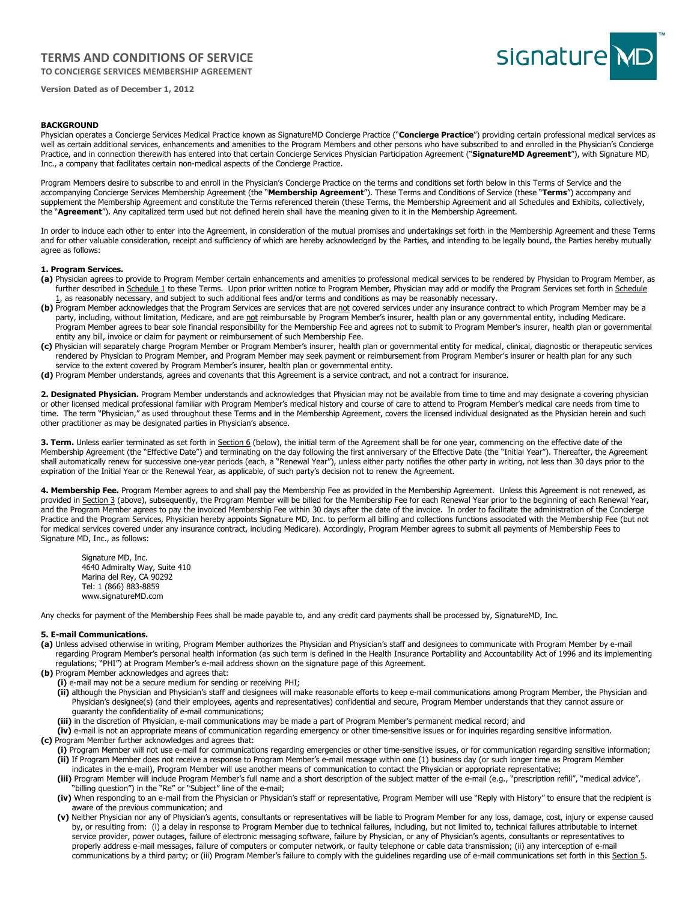# **TERMS AND CONDITIONS OF SERVICE**

**TO CONCIERGE SERVICES MEMBERSHIP AGREEMENT** 



**Version Dated as of December 1, 2012**

## **BACKGROUND**

Physician operates a Concierge Services Medical Practice known as SignatureMD Concierge Practice ("**Concierge Practice**") providing certain professional medical services as well as certain additional services, enhancements and amenities to the Program Members and other persons who have subscribed to and enrolled in the Physician's Concierge Practice, and in connection therewith has entered into that certain Concierge Services Physician Participation Agreement ("**SignatureMD Agreement**"), with Signature MD, Inc., a company that facilitates certain non-medical aspects of the Concierge Practice.

Program Members desire to subscribe to and enroll in the Physician's Concierge Practice on the terms and conditions set forth below in this Terms of Service and the accompanying Concierge Services Membership Agreement (the "**Membership Agreement**"). These Terms and Conditions of Service (these "**Terms**") accompany and supplement the Membership Agreement and constitute the Terms referenced therein (these Terms, the Membership Agreement and all Schedules and Exhibits, collectively, the "**Agreement**"). Any capitalized term used but not defined herein shall have the meaning given to it in the Membership Agreement.

In order to induce each other to enter into the Agreement, in consideration of the mutual promises and undertakings set forth in the Membership Agreement and these Terms and for other valuable consideration, receipt and sufficiency of which are hereby acknowledged by the Parties, and intending to be legally bound, the Parties hereby mutually agree as follows:

## **1. Program Services.**

- **(a)** Physician agrees to provide to Program Member certain enhancements and amenities to professional medical services to be rendered by Physician to Program Member, as further described in Schedule 1 to these Terms. Upon prior written notice to Program Member, Physician may add or modify the Program Services set forth in Schedule 1, as reasonably necessary, and subject to such additional fees and/or terms and conditions as may be reasonably necessary.
- (b) Program Member acknowledges that the Program Services are services that are not covered services under any insurance contract to which Program Member may be a party, including, without limitation, Medicare, and are not reimbursable by Program Member's insurer, health plan or any governmental entity, including Medicare. Program Member agrees to bear sole financial responsibility for the Membership Fee and agrees not to submit to Program Member's insurer, health plan or governmental entity any bill, invoice or claim for payment or reimbursement of such Membership Fee.
- **(c)** Physician will separately charge Program Member or Program Member's insurer, health plan or governmental entity for medical, clinical, diagnostic or therapeutic services rendered by Physician to Program Member, and Program Member may seek payment or reimbursement from Program Member's insurer or health plan for any such service to the extent covered by Program Member's insurer, health plan or governmental entity.
- **(d)** Program Member understands, agrees and covenants that this Agreement is a service contract, and not a contract for insurance.

2. Designated Physician. Program Member understands and acknowledges that Physician may not be available from time to time and may designate a covering physician or other licensed medical professional familiar with Program Member's medical history and course of care to attend to Program Member's medical care needs from time to time. The term "Physician," as used throughout these Terms and in the Membership Agreement, covers the licensed individual designated as the Physician herein and such other practitioner as may be designated parties in Physician's absence.

3. Term. Unless earlier terminated as set forth in Section 6 (below), the initial term of the Agreement shall be for one year, commencing on the effective date of the Membership Agreement (the "Effective Date") and terminating on the day following the first anniversary of the Effective Date (the "Initial Year"). Thereafter, the Agreement shall automatically renew for successive one-year periods (each, a "Renewal Year"), unless either party notifies the other party in writing, not less than 30 days prior to the expiration of the Initial Year or the Renewal Year, as applicable, of such party's decision not to renew the Agreement.

4. Membership Fee. Program Member agrees to and shall pay the Membership Fee as provided in the Membership Agreement. Unless this Agreement is not renewed, as provided in Section 3 (above), subsequently, the Program Member will be billed for the Membership Fee for each Renewal Year prior to the beginning of each Renewal Year, and the Program Member agrees to pay the invoiced Membership Fee within 30 days after the date of the invoice. In order to facilitate the administration of the Concierge Practice and the Program Services, Physician hereby appoints Signature MD, Inc. to perform all billing and collections functions associated with the Membership Fee (but not for medical services covered under any insurance contract, including Medicare). Accordingly, Program Member agrees to submit all payments of Membership Fees to Signature MD, Inc., as follows:

Signature MD, Inc. 4640 Admiralty Way, Suite 410 Marina del Rey, CA 90292 Tel: 1 (866) 883-8859 www.signatureMD.com

Any checks for payment of the Membership Fees shall be made payable to, and any credit card payments shall be processed by, SignatureMD, Inc.

#### **5. E-mail Communications.**

- **(a)** Unless advised otherwise in writing, Program Member authorizes the Physician and Physician's staff and designees to communicate with Program Member by e-mail regarding Program Member's personal health information (as such term is defined in the Health Insurance Portability and Accountability Act of 1996 and its implementing regulations; "PHI") at Program Member's e-mail address shown on the signature page of this Agreement.
- **(b)** Program Member acknowledges and agrees that:
	- **(i)** e-mail may not be a secure medium for sending or receiving PHI;
	- **(ii)** although the Physician and Physician's staff and designees will make reasonable efforts to keep e-mail communications among Program Member, the Physician and Physician's designee(s) (and their employees, agents and representatives) confidential and secure, Program Member understands that they cannot assure or guaranty the confidentiality of e-mail communications;
	- **(iii)** in the discretion of Physician, e-mail communications may be made a part of Program Member's permanent medical record; and
- **(iv)** e-mail is not an appropriate means of communication regarding emergency or other time-sensitive issues or for inquiries regarding sensitive information. **(c)** Program Member further acknowledges and agrees that:
	- **(i)** Program Member will not use e-mail for communications regarding emergencies or other time-sensitive issues, or for communication regarding sensitive information; **(ii)** If Program Member does not receive a response to Program Member's e-mail message within one (1) business day (or such longer time as Program Member
	- indicates in the e-mail), Program Member will use another means of communication to contact the Physician or appropriate representative;
	- **(iii)** Program Member will include Program Member's full name and a short description of the subject matter of the e-mail (e.g., "prescription refill", "medical advice", "billing question") in the "Re" or "Subject" line of the e-mail;
	- **(iv)** When responding to an e-mail from the Physician or Physician's staff or representative, Program Member will use "Reply with History" to ensure that the recipient is aware of the previous communication; and
	- **(v)** Neither Physician nor any of Physician's agents, consultants or representatives will be liable to Program Member for any loss, damage, cost, injury or expense caused by, or resulting from: (i) a delay in response to Program Member due to technical failures, including, but not limited to, technical failures attributable to internet service provider, power outages, failure of electronic messaging software, failure by Physician, or any of Physician's agents, consultants or representatives to properly address e-mail messages, failure of computers or computer network, or faulty telephone or cable data transmission; (ii) any interception of e-mail communications by a third party; or (iii) Program Member's failure to comply with the guidelines regarding use of e-mail communications set forth in this Section 5.